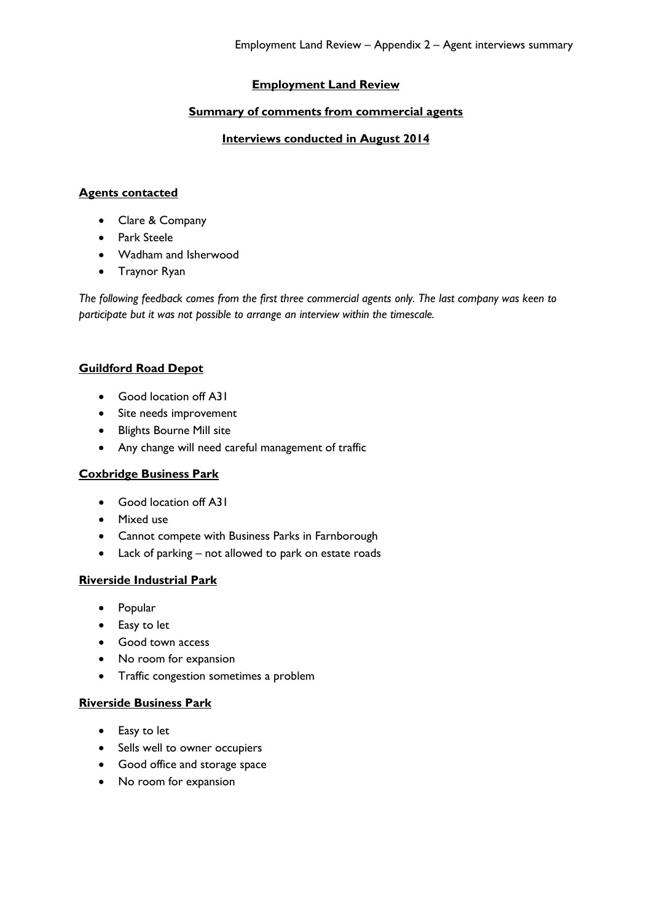## **Employment Land Review**

### **Summary of comments from commercial agents**

#### **Interviews conducted in August 2014**

#### **Agents contacted**

- Clare & Company
- Park Steele
- Wadham and Isherwood
- Traynor Ryan

*The following feedback comes from the first three commercial agents only. The last company was keen to participate but it was not possible to arrange an interview within the timescale.*

## **Guildford Road Depot**

- Good location off A31
- Site needs improvement
- Blights Bourne Mill site
- Any change will need careful management of traffic

### **Coxbridge Business Park**

- Good location off A31
- Mixed use
- Cannot compete with Business Parks in Farnborough
- Lack of parking not allowed to park on estate roads

#### **Riverside Industrial Park**

- Popular
- Easy to let
- Good town access
- No room for expansion
- Traffic congestion sometimes a problem

#### **Riverside Business Park**

- Easy to let
- Sells well to owner occupiers
- Good office and storage space
- No room for expansion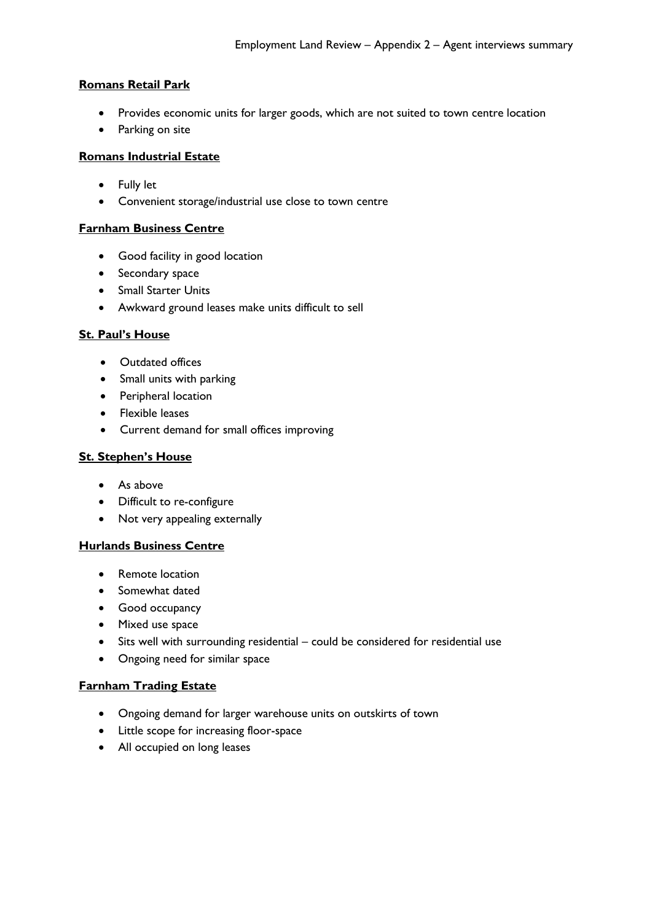## **Romans Retail Park**

- Provides economic units for larger goods, which are not suited to town centre location
- Parking on site

## **Romans Industrial Estate**

- Fully let
- Convenient storage/industrial use close to town centre

## **Farnham Business Centre**

- **•** Good facility in good location
- Secondary space
- Small Starter Units
- Awkward ground leases make units difficult to sell

## **St. Paul's House**

- Outdated offices
- Small units with parking
- Peripheral location
- **•** Flexible leases
- Current demand for small offices improving

## **St. Stephen's House**

- As above
- Difficult to re-configure
- Not very appealing externally

# **Hurlands Business Centre**

- Remote location
- Somewhat dated
- Good occupancy
- Mixed use space
- Sits well with surrounding residential could be considered for residential use
- Ongoing need for similar space

### **Farnham Trading Estate**

- Ongoing demand for larger warehouse units on outskirts of town
- Little scope for increasing floor-space
- All occupied on long leases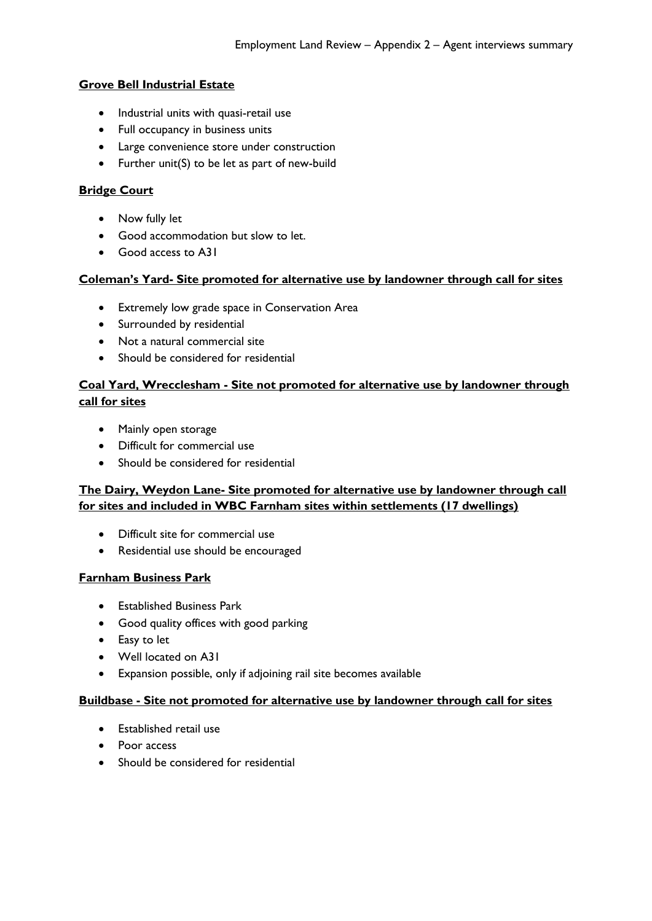## **Grove Bell Industrial Estate**

- Industrial units with quasi-retail use
- Full occupancy in business units
- Large convenience store under construction
- Further unit(S) to be let as part of new-build

## **Bridge Court**

- Now fully let
- Good accommodation but slow to let.
- Good access to A31

## **Coleman's Yard- Site promoted for alternative use by landowner through call for sites**

- Extremely low grade space in Conservation Area
- Surrounded by residential
- Not a natural commercial site
- Should be considered for residential

# **Coal Yard, Wrecclesham - Site not promoted for alternative use by landowner through call for sites**

- Mainly open storage
- Difficult for commercial use
- Should be considered for residential

# **The Dairy, Weydon Lane- Site promoted for alternative use by landowner through call for sites and included in WBC Farnham sites within settlements (17 dwellings)**

- Difficult site for commercial use
- Residential use should be encouraged

### **Farnham Business Park**

- **•** Established Business Park
- Good quality offices with good parking
- Easy to let
- Well located on A31
- Expansion possible, only if adjoining rail site becomes available

### **Buildbase - Site not promoted for alternative use by landowner through call for sites**

- Established retail use
- Poor access
- Should be considered for residential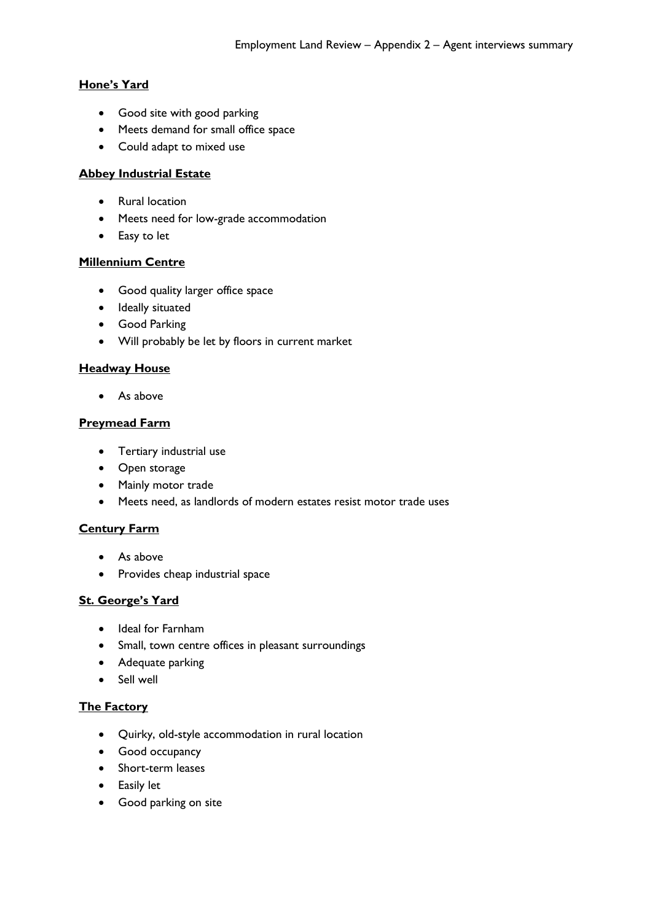## **Hone's Yard**

- Good site with good parking
- Meets demand for small office space
- Could adapt to mixed use

### **Abbey Industrial Estate**

- Rural location
- Meets need for low-grade accommodation
- Easy to let

## **Millennium Centre**

- Good quality larger office space
- Ideally situated
- Good Parking
- Will probably be let by floors in current market

# **Headway House**

As above

## **Preymead Farm**

- Tertiary industrial use
- Open storage
- Mainly motor trade
- Meets need, as landlords of modern estates resist motor trade uses

# **Century Farm**

- As above
- Provides cheap industrial space

# **St. George's Yard**

- Ideal for Farnham
- Small, town centre offices in pleasant surroundings
- Adequate parking
- Sell well

### **The Factory**

- Quirky, old-style accommodation in rural location
- Good occupancy
- Short-term leases
- Easily let
- Good parking on site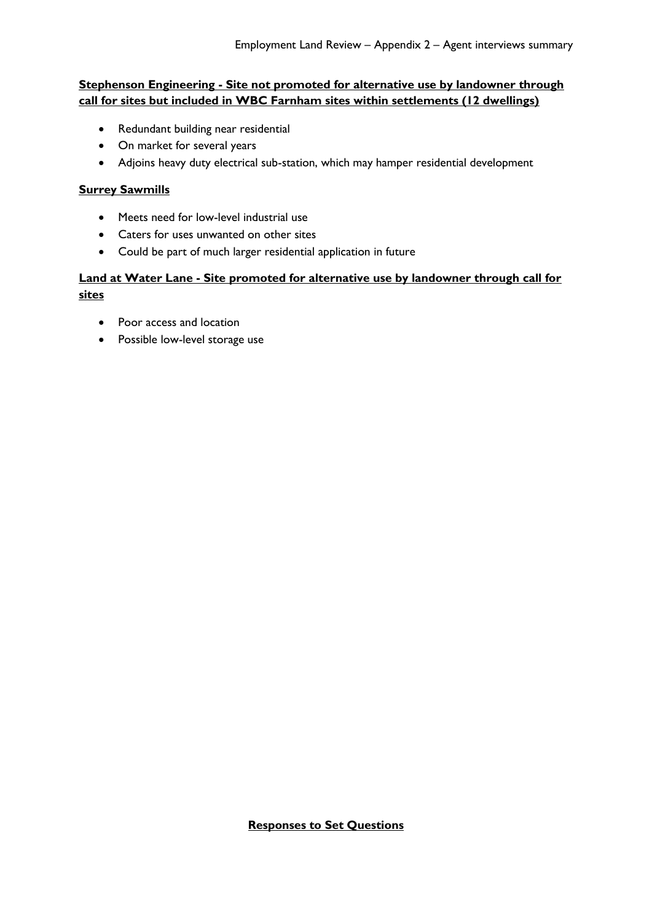## **Stephenson Engineering - Site not promoted for alternative use by landowner through call for sites but included in WBC Farnham sites within settlements (12 dwellings)**

- Redundant building near residential
- On market for several years
- Adjoins heavy duty electrical sub-station, which may hamper residential development

## **Surrey Sawmills**

- Meets need for low-level industrial use
- Caters for uses unwanted on other sites
- Could be part of much larger residential application in future

# **Land at Water Lane - Site promoted for alternative use by landowner through call for sites**

- Poor access and location
- Possible low-level storage use